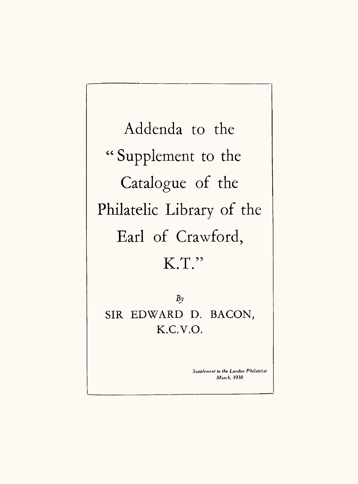Addenda to the " Supplement to the Catalogue of the Philatelic Library of the Earl of Crawford, K.T."

*By* SIR EDWARD D. BACON, K.C.V.O.

> *Supplement lo the London Philatelist March,* **1938**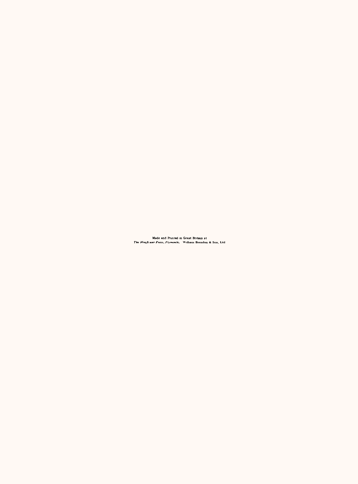Made and Printed in Great Britain at<br>The Mayficuse Press, Plymouth, William Brendon & Son, Ltd.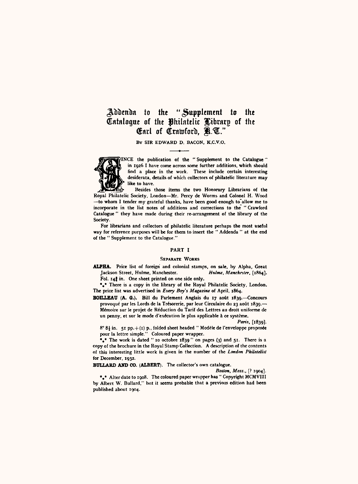# Addenda to the "Supplement to the Catalogue of the philatelic JCibrnrg of the Carl of Crawford, R.U."

**BY SIR EDWARD D. BACON. K.C.V.O.**



**fINCE the publication of the " Supplement to the Catalogue" in 1926 I have come across some further additions, which should find a place in the work. These include certain interesting desiderata, details of which collectors of philatelic literature may like to have.**

**£** *&r* **Besides those items the two Honorary Librarians of the Royal Philatelic Society, London—Mr. Percy de Worms and Colonel H. Wood —to whom I tender my grateful thanks, have been good enough to'allow me to incorporate in the list notes of additions and corrections to the " Crawford Catalogue " they have made during their re-arrangement of the library of the Society.**

**For librarians and collectors of philatelic literature perhaps the most useful way for reference purposes will be for them to insert the " Addenda " at the end of the " Supplement to the Catalogue."**

#### **PART I**

#### SEPARATE WORKS

**ALPHA. Price list of foreign and colonial stamps, on sale, by Alpha, Great Jackson Street, Hulme, Manchester.** *Holme, Manchester,* **[1864]. Fol. 14} in. One sheet printed on one side only.**

**•«• There is a copy in the library of the Royal Philatelic Society, London. The price list was advertised in** *Every Boy's Magazine of* **April, 1864.** 

**BOILLEAU (A. O.). Bill du Parlement Anglais du 17 aout 1839.—Concours** provoqué par les Lords de la Trésorerie, par leur Circulaire du 23 août 1830.— Me'moire sur le projet de Reduction du Tarif des Lettres au droit uniforme dc **un penny, et sur le mode d'exe'cution le plus applicable a ce systime.**

*Paris,* [1839].

 $8^{\circ}$  8<sup>1</sup> in. 51 pp. + (1) p., folded sheet headed " Modèle de l'enveloppe proposée **pour la lettre simple." Coloured paper wrapper.**

**%• The work is dated " 10 octobre 1839 " on pages (3) and 51. There is a copy of the brochure in the Royal Stamp Collection. A description of the contents of this interesting little work is given in the number of the** *London Philatelist for* **December, 1932.** 

**BULLARD AND CO. (ALBERT). The collector's own catalogue.**

*Boston, Mass.,* [? 1904].

\*\* Alter date to 1908. The coloured paper wrapper has " Copyright MCMVIII by Albert W. Bullard," but it seems probable that a previous edition had been **published about 1904.**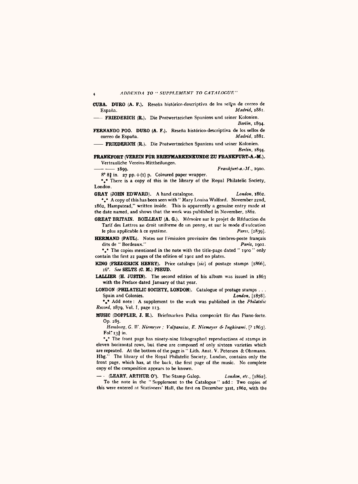CUBA. DURO (A. F.). Resena historicn-descriptiva de los sel|ps de correo de Espaiia. *Madrid.* 1881.

- FRIEDERICH (R.). Die Postwertzeichen Spaniens und seiner Kolonien. *Berlin,* 1894.

**FERNANDO POO. DURO (A. F.).** Reseña histórico-descriptiva de los sellos de correo de Fereña correo de Espana. *Madrid, 1881.*

*——* FRIEDERICH (R.). Die Postwertzeichcn Spaniens und seiner Kolonien. *Berlin,* 1894.

FRANKFORT (VEREIN FÜR BRIEFMARKENKUNDE ZU FRANKFURT-A.-M.). Vertrauliche Vereins-Mittheilungen.<br>- - 1899. —— —— 1899. *Frankjurl-a.-M.,* 1900.

 $8^{\circ} 8^{\frac{3}{2}}$  in. 27 pp.  $+(1)$  p. Coloured paper wrapper.

\*,\* There is a copy of this in the library of the Royal Philatelic Society, London.

GRAY (JOHN EDWARD). A hand catalogue. *London, 1862.* \*.\* A copy of this has been seen with " Mary Louisa Walford. November 22nd, 1862, Hampstead," written inside. This is apparently a genuine entry made at the date named, and shows that the work was published in November, 1862.

- GREAT BRITAIN. BOILLEAU (A. G.). Memoire sur le projet de Reduction du Tarif des Lettres au droit uniforme de un penny, et sur le mode d'exécution<br>le plus applicable à ce système.<br>Paris. [1830]. le plus applicable à ce système.
- HERMAND (PAUL). Notes sur l'émission provisoire des timbres-poste français dits dc " Bordeaux." *Paris,* 1901.

\*.\* The copies mentioned in the note with the title-page dated " 1900 " only contain the first 21 pages of the edition of 1901 and no plates.

KING (FREDERICK HENRY). Price catalogu [sic] of postage stamps [1866], 16°. *See* SELTZ (C. M.) PSEUD.

LALLIER (H. JUSTIN). The second edition of his album was issued in 1863 with the Preface dated January of that year.

LONDON (PHILATELIC SOCIETY, LONDON). Catalogue of postage stamps . . .<br>Spain and Colonies. [1878]. Spain and Colonies.

•»• Add note : A supplement to the work was published in the *Philatelic Record,* 1879, Vol. I, page 113.

MUSIC (DOPPLER, J. H.). Briefmarken Polka componirt fur das Piano-forte. Op. 285.

*Hamburg. G.* M". *Niemever ; Valparaiso, E. Niemeyer 6- Inghirami,* [? 1863]. Fol. 133 in.

\*\*\* The front page has ninety-nine lithographed reproductions of stamps in eleven horizontal rows, but these are composed of only sixteen varieties which are repeated. At the bottom of the page is " Lith. Anst. V. Petersen & Ohrmann. Hbg." The library of the Royal Philatelic Society, London, contains only the front page, which has, at the back, the first page of the music. No complete copy of the composition appears to be known.

— - (LEARY, ARTHUR 0'). The Stamp Galop. *London, etc.,* [1862]. To the note in the " Supplement to the Catalogue " add : Two copies of this were entered at Stationers' Hall, the first on December 3ist, 1862, with the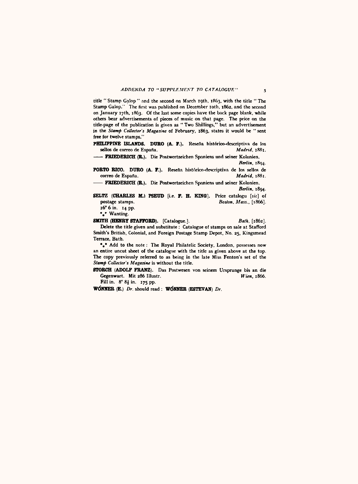title " Stamp Galop " and the second on March igth, 1863, with the title " The Stamp Galop." The first was published on December 10th, 1862, and the second on January 17th, 1863. Of the last some copies have the back page blank, while others bear advertisements of pieces of music on that page. The price on the title-page of the publication is given as " Two Shillings," but an advertisement in the *Stamp Collector's Magazine* of February, 1863, states it would be " sent free for twelve stamps."

PHILIPPINE ISLANDS. DURO (A. F.). Reseña histórico-descriptiva de los sellos de correo de España. Madrid, 1881. sellos de correo de España.

—— FRIEDERICH (R.). Die Postwcrtzeichen Spaniens «nd seiner Kolonien. *Berlin.* **1804**.

PORTO RICO. DURO (A. F.). Reseña histórico-descriptiva de los sellos de correo de España. correo de España.

—— FRIEDERICH (R.). Die Postwertzeichen Spaniens und seiner Kolonien. *Berlin,* 1894.

SELTZ (CHARLES M.) PSEUD [i.e. F. H. KING]. Price catalogu [sic] of postage stamps.  $Boston, Mass., [1866]$ . postage stamps. *Boston, Mass.,* [1866]. 16° 6 in. 14 pp.

\*.\* Wanting.

SMITH (HENRY STAFFORD). [Catalogue.]. *Bath.* [1862], Delete the title given and substitute : Catalogue of stamps on sale at Stafford Smith's British, Colonial, and Foreign Postage Stamp Depot, No. 25, Kingsmead Terrace, Bath.

\*\*\* Add to the note: The Royal Philatelic Society, London, possesses now an entire uncut sheet of the catalogue with the title as given above at the top. The copy previously referred to as being in the late Miss Fenton's set of the *Stamp Collector's Magazine* is without the title.

STORCH (ADOLF FRANZ). Das Postwesen von seinem Ursprunge bis an die Gegenwart. Mit 286 Illustr. Fill in. 8° 8J in. 175 pp.

WdNNER (E.) *Dr.* should read : WdNNER (ESTEVAN) *Dr.*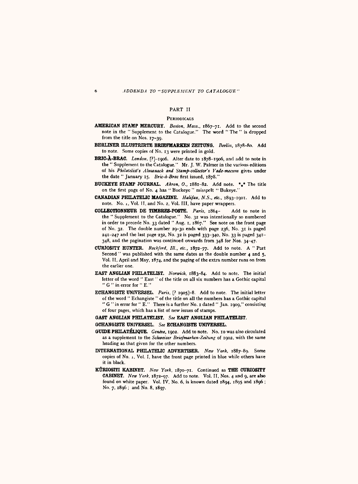#### PART II

### **PERIODICALS**

- AMERICAN STAMP MERCURY. *Boston, Mass.,* 1867-71. Add to the second note in the " Supplement to the Catalogue." The word " The " is dropped from the title on Nos. 17-39.
- BERLINER ILLUSTRIRTE BRIEFMARKEN ZEITDNO. *Berlin,* 1878-80. Add to note. Some copies of No. 13 were printed in gold.
- BRIC-A-BRAC. *London,* [?]-igo6. Alter date to 1878-1906, and add to note in the " Supplement to the Catalogue." Mr. J. W. Palmer in the various editions of his *Philatelist's Almanack and Stamp-collector's Vade-mecum* gives under the date " January 15. *Bric-a-Brac* first issued, 1878."
- BUCKEYE STAMP JOURNAL. *Akron, 0.,* 1881-82. Add note. «,\* The title on the first page of No. 4 has " Buckeye " misspelt " Bukeyc."
- CANADIAN PHILATELIC MAGAZINE. *Halifax, N.S., etc.,* 1893-1901. Add to note. No. i, Vol. II, and No. 2, Vol. Ill, have paper wrappers.
- COLLECTIONNEUR DE TIMBRES-POSTE. *Paris,* 1864- Add to note in the " Supplement to the Catalogue." No. 32 was intentionally so numbered in order to precede No. 33 dated " Aug. i, 1867." See note on the front page of No. 32. The double number 29-30 ends with page 236, No. 31 is paged 241-247 and the last page 232, No. 32 is paged 333-340, No. 33 is paged 341- 348, and the pagination was continued onwards from 348 for Nos. 34-47.
- CURIOSITY HUNTER. *Rockford, III., etc.,* 1872-77. Add to note. A " Part Second " was published with the same dates as the double number 4 and 5. Vol. II, April and May, 1874, and the paging of the extra number runs on from the earlier one.
- EAST ANGLIAN PHILATELIST. *Norwich,* 1883-84. Add to note. The initial letter of the word " East " of the title on all six numbers has a Gothic capital "  $G$  " in error for "  $E$ ."
- ECHANGISTE UNIVERSEL. Paris, [? 1905]-8. Add to note. The initial letter of the word " Echangiste " of the title on all the numbers has a Gothic capital " G " in error for " E." There is a further No. I dated " Jan. 1909," consisting of four pages, which has a list of new issues of stamps.
- GAST ANGLIAN PHILATELIST. *See* EAST ANGLIAN PHILATELIST. GCHANGISTE UNIVERSEL. *See* ECHANGISTE UNIVERSEL.
- GUIDE PHILATELIQUE. *Geneve,* 1902. Add to note. No. 10 was also circulated as <sup>a</sup>supplement to the *Schweizcr Briefmarken-Zeitimg* of 1902, with the same heading as that given for the other numbers.
- INTERNATIONAL PHILATELIC ADVERTISER. *New York,* 1887-89. Some copies of No. i, Vol. I, have the front page printed in blue while others have it in black.
- KURIOSITI KABINET. *New York.* 1870-71. Continued as THE CURIOSITY CABINET. *New York.* 1872-97. Add to note. Vol. II, Nos. 4 and 9, are also found on white paper. Vol. IV, No. 6, is known dated 1894, 1895 and 1896 ; No. 7, 1896; and No. 8, 1897.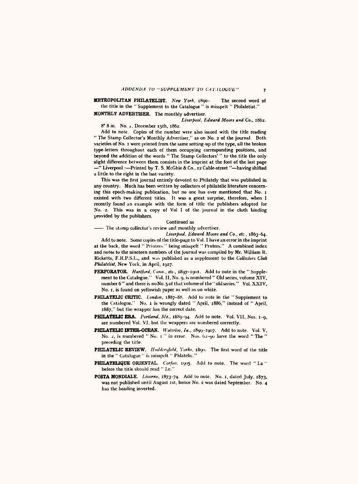# METROPOLITAN PHILATELIST. *New York.* 1890- The second word of the title in the " Supplement to the Catalogue " is misspelt " Philaletist."

MONTHLY ADVERTISER. The monthly advertiser.

*Liverpool, Edward Moore and Co.,* 1862. 8° 8 in. No. j, December I5th, 1862.

Add to note. Copies of the number were also issued with the title reading " The Stamp Collector's Monthly Advertiser," as on No. 2 of the journal. Both varieties of No. 1 were printed from the same setting-up of the type, all the broken type-letters throughout each of them occupying corresponding positions, and beyond the addition of the words " The Stamp Collectors' " to the title the only slight difference between them consists in the imprint at the foot of the last page —" Liverpool :—Printed by T. S. McGhie & Co., 12 Cable-street "—having shifted <sup>a</sup>little to the right in the last variety.

This was the first journal entirely devoted to Philately that was published in any country. Much has been written by collectors of philatelic literature concerning this epoch-making publication, but no one has ever mentioned that No. i existed with two different titles. It was <sup>a</sup>great surprise, therefore, when I recently found an example with the form of title the publishers adopted for No. 2. This was in <sup>a</sup>copy of Vol I of the journal in the cloth binding provided by the publishers.

#### Continued as

—— The stamp collector's review and monthly advertiser.

*Liverpool, Hdward Moore and Co., etc.,* 1863-64. Add to note. Some copies of the title-page to Vol. I have an error in the imprint at the back, the word " Printers " being misspelt " Prnters." A combined index and notes to the nineteen numbers of the journal was compiled by Mr. William K. Ricketts, F.R.P.S.L., and was published as a supplement to the *Collectors Club* 

*Philatelist,* New York, in April, 1927.

- PERFORATOR. *Hartford, Conn., etc.,* 1897-1901. Add to note in the " Supplement to the Catalogue." Vol. 11, No. 9, is numbered " Old series, volume XIV, number 6" and there is no No. 5 of that volume of the "old series." Vol. XXIV, No. I, is found on yellowish paper as well as on white.
- PHILATELIC CRITIC. *London*, 1887-88. Add to note in the "Supplement to the Catalogue." No. i is wrongly dated " April, 1886," instead of " April, 1887," but the wrapper has the correct dale.
- PHILATELIC ERA. *Portland, Me.,* 1889-94. Add to note. Vol. VII, Nos. 1-9, are numbered Vol. VI, but the wrappers are numbered correctly.
- PHILATELIC INTER-OCEAN. *Waterloo, Ia.*, 1899-1907. Add to note. Vol. V, No. 2, is numbered " No. 1 " in error. Nos. 02-90 have the word " The " preceding the title.
- PHILATELIC REVIEW. *Huddersfield*, Yorks, 1890. The first word of the title in the " Catalogue " is misspelt " Phlatelic."
- PHILATELIQUE ORIENTAL. *Corfon*, 1905. Add to note. The word " La " before the title should read " Lc."
- POSTA MONDIALE. *Livorno*, 1873-74. Add to note. No. 1, dated July, 1873. was not published until August 1st, hence No. 2 was dated September. No. 4 has the heading inverted.